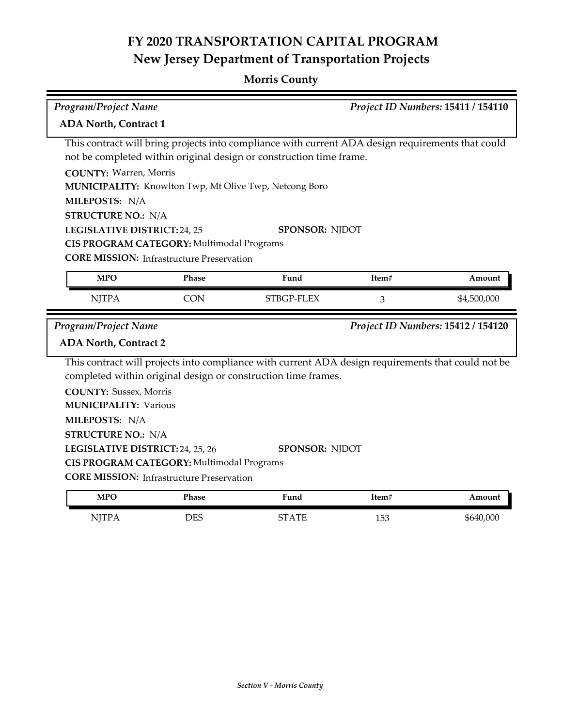| Program/Project Name                                                                                                                                                                                                                                                                                             |            |                                                                                                                                                                                                                                                             | Project ID Numbers: 15411 / 154110 |                                    |
|------------------------------------------------------------------------------------------------------------------------------------------------------------------------------------------------------------------------------------------------------------------------------------------------------------------|------------|-------------------------------------------------------------------------------------------------------------------------------------------------------------------------------------------------------------------------------------------------------------|------------------------------------|------------------------------------|
| <b>ADA North, Contract 1</b>                                                                                                                                                                                                                                                                                     |            |                                                                                                                                                                                                                                                             |                                    |                                    |
| <b>COUNTY: Warren, Morris</b><br>MILEPOSTS: N/A<br><b>STRUCTURE NO.: N/A</b><br>LEGISLATIVE DISTRICT: 24, 25<br>CIS PROGRAM CATEGORY: Multimodal Programs                                                                                                                                                        |            | This contract will bring projects into compliance with current ADA design requirements that could<br>not be completed within original design or construction time frame.<br>MUNICIPALITY: Knowlton Twp, Mt Olive Twp, Netcong Boro<br><b>SPONSOR: NJDOT</b> |                                    |                                    |
| <b>CORE MISSION:</b> Infrastructure Preservation                                                                                                                                                                                                                                                                 |            |                                                                                                                                                                                                                                                             |                                    |                                    |
| <b>MPO</b>                                                                                                                                                                                                                                                                                                       | Phase      | Fund                                                                                                                                                                                                                                                        | Item#                              | Amount                             |
| <b>NJTPA</b>                                                                                                                                                                                                                                                                                                     | <b>CON</b> | STBGP-FLEX                                                                                                                                                                                                                                                  | 3                                  | \$4,500,000                        |
| <b>Program/Project Name</b><br><b>ADA North, Contract 2</b><br><b>COUNTY: Sussex, Morris</b><br><b>MUNICIPALITY: Various</b><br>MILEPOSTS: N/A<br><b>STRUCTURE NO.: N/A</b><br>LEGISLATIVE DISTRICT: 24, 25, 26<br>CIS PROGRAM CATEGORY: Multimodal Programs<br><b>CORE MISSION:</b> Infrastructure Preservation |            | This contract will projects into compliance with current ADA design requirements that could not be<br>completed within original design or construction time frames.<br>SPONSOR: NJDOT                                                                       |                                    | Project ID Numbers: 15412 / 154120 |
| <b>MPO</b>                                                                                                                                                                                                                                                                                                       | Phase      | Fund                                                                                                                                                                                                                                                        | Item#                              | Amount                             |
| <b>NJTPA</b>                                                                                                                                                                                                                                                                                                     | <b>DES</b> | <b>STATE</b>                                                                                                                                                                                                                                                | 153                                | \$640,000                          |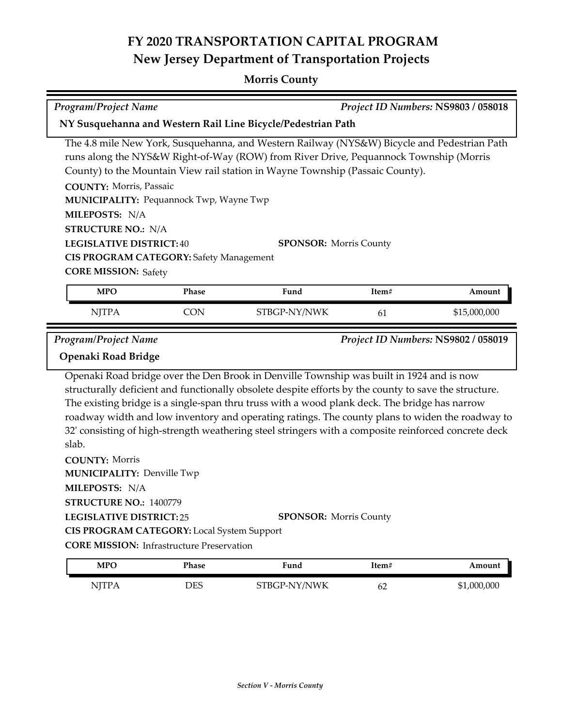| <b>Program/Project Name</b>                                                                                                                                                                                                                  | Project ID Numbers: NS9803 / 058018              |                                                                                                                                                                                                                                                                                                                                                                                                                                                                                                                                                |       |              |
|----------------------------------------------------------------------------------------------------------------------------------------------------------------------------------------------------------------------------------------------|--------------------------------------------------|------------------------------------------------------------------------------------------------------------------------------------------------------------------------------------------------------------------------------------------------------------------------------------------------------------------------------------------------------------------------------------------------------------------------------------------------------------------------------------------------------------------------------------------------|-------|--------------|
|                                                                                                                                                                                                                                              |                                                  | NY Susquehanna and Western Rail Line Bicycle/Pedestrian Path                                                                                                                                                                                                                                                                                                                                                                                                                                                                                   |       |              |
| <b>COUNTY: Morris, Passaic</b><br>MUNICIPALITY: Pequannock Twp, Wayne Twp<br>MILEPOSTS: N/A<br><b>STRUCTURE NO.: N/A</b><br><b>LEGISLATIVE DISTRICT: 40</b><br><b>CIS PROGRAM CATEGORY: Safety Management</b><br><b>CORE MISSION: Safety</b> |                                                  | The 4.8 mile New York, Susquehanna, and Western Railway (NYS&W) Bicycle and Pedestrian Path<br>runs along the NYS&W Right-of-Way (ROW) from River Drive, Pequannock Township (Morris<br>County) to the Mountain View rail station in Wayne Township (Passaic County).<br><b>SPONSOR: Morris County</b>                                                                                                                                                                                                                                         |       |              |
| <b>MPO</b>                                                                                                                                                                                                                                   | Phase                                            | Fund                                                                                                                                                                                                                                                                                                                                                                                                                                                                                                                                           | Item# | Amount       |
| <b>NJTPA</b>                                                                                                                                                                                                                                 | <b>CON</b>                                       | STBGP-NY/NWK                                                                                                                                                                                                                                                                                                                                                                                                                                                                                                                                   | 61    | \$15,000,000 |
| Openaki Road Bridge<br>slab.<br><b>COUNTY: Morris</b><br><b>MUNICIPALITY: Denville Twp</b><br>MILEPOSTS: N/A<br>STRUCTURE NO.: 1400779<br><b>LEGISLATIVE DISTRICT:25</b>                                                                     |                                                  | Openaki Road bridge over the Den Brook in Denville Township was built in 1924 and is now<br>structurally deficient and functionally obsolete despite efforts by the county to save the structure.<br>The existing bridge is a single-span thru truss with a wood plank deck. The bridge has narrow<br>roadway width and low inventory and operating ratings. The county plans to widen the roadway to<br>32' consisting of high-strength weathering steel stringers with a composite reinforced concrete deck<br><b>SPONSOR: Morris County</b> |       |              |
| <b>CIS PROGRAM CATEGORY:</b> Local System Support                                                                                                                                                                                            | <b>CORE MISSION:</b> Infrastructure Preservation |                                                                                                                                                                                                                                                                                                                                                                                                                                                                                                                                                |       |              |
| <b>MPO</b>                                                                                                                                                                                                                                   | Phase                                            | Fund                                                                                                                                                                                                                                                                                                                                                                                                                                                                                                                                           | Item# | Amount       |

| <b>MPO</b>  | Phase | ™und         | 1tem# | Amount      |
|-------------|-------|--------------|-------|-------------|
| <b>TTTT</b> | DES   | STBGP-NY/NWK | 62    | \$1,000,000 |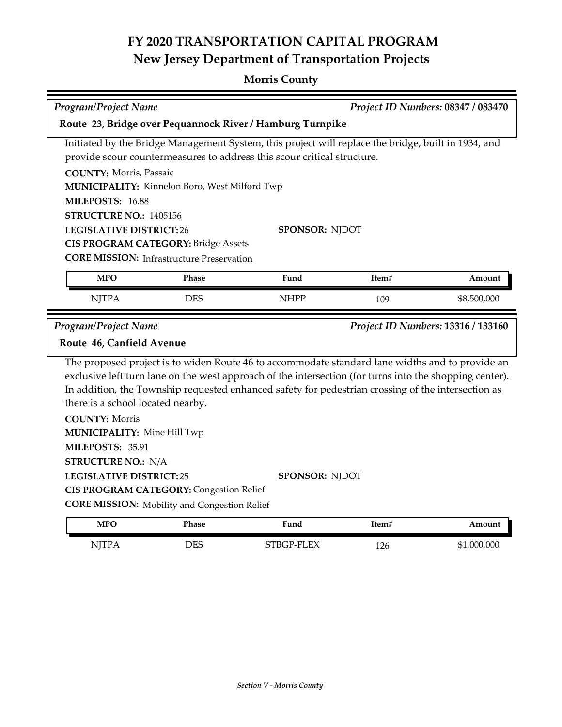| <b>Program/Project Name</b><br>Project ID Numbers: 08347 / 083470                                                                                                                   |                                                                                                       |                                                                                                                                                                                                                                                                                                                                           |       |                                    |
|-------------------------------------------------------------------------------------------------------------------------------------------------------------------------------------|-------------------------------------------------------------------------------------------------------|-------------------------------------------------------------------------------------------------------------------------------------------------------------------------------------------------------------------------------------------------------------------------------------------------------------------------------------------|-------|------------------------------------|
|                                                                                                                                                                                     |                                                                                                       | Route 23, Bridge over Pequannock River / Hamburg Turnpike                                                                                                                                                                                                                                                                                 |       |                                    |
| <b>COUNTY: Morris, Passaic</b>                                                                                                                                                      |                                                                                                       | Initiated by the Bridge Management System, this project will replace the bridge, built in 1934, and<br>provide scour countermeasures to address this scour critical structure.                                                                                                                                                            |       |                                    |
| MILEPOSTS: 16.88                                                                                                                                                                    | MUNICIPALITY: Kinnelon Boro, West Milford Twp                                                         |                                                                                                                                                                                                                                                                                                                                           |       |                                    |
| <b>STRUCTURE NO.: 1405156</b>                                                                                                                                                       |                                                                                                       |                                                                                                                                                                                                                                                                                                                                           |       |                                    |
| <b>LEGISLATIVE DISTRICT:26</b><br><b>SPONSOR: NJDOT</b><br><b>CIS PROGRAM CATEGORY: Bridge Assets</b><br><b>CORE MISSION:</b> Infrastructure Preservation                           |                                                                                                       |                                                                                                                                                                                                                                                                                                                                           |       |                                    |
| <b>MPO</b>                                                                                                                                                                          | Phase                                                                                                 | Fund                                                                                                                                                                                                                                                                                                                                      | Item# | Amount                             |
| <b>NJTPA</b>                                                                                                                                                                        | <b>DES</b>                                                                                            | <b>NHPP</b>                                                                                                                                                                                                                                                                                                                               | 109   | \$8,500,000                        |
| <b>Program/Project Name</b>                                                                                                                                                         |                                                                                                       |                                                                                                                                                                                                                                                                                                                                           |       | Project ID Numbers: 13316 / 133160 |
| Route 46, Canfield Avenue                                                                                                                                                           |                                                                                                       |                                                                                                                                                                                                                                                                                                                                           |       |                                    |
| there is a school located nearby.<br><b>COUNTY: Morris</b><br><b>MUNICIPALITY: Mine Hill Twp</b><br>MILEPOSTS: 35.91<br><b>STRUCTURE NO.: N/A</b><br><b>LEGISLATIVE DISTRICT:25</b> | <b>CIS PROGRAM CATEGORY: Congestion Relief</b><br><b>CORE MISSION:</b> Mobility and Congestion Relief | The proposed project is to widen Route 46 to accommodate standard lane widths and to provide an<br>exclusive left turn lane on the west approach of the intersection (for turns into the shopping center).<br>In addition, the Township requested enhanced safety for pedestrian crossing of the intersection as<br><b>SPONSOR: NJDOT</b> |       |                                    |
| <b>MPO</b>                                                                                                                                                                          | <b>Phase</b>                                                                                          | Fund                                                                                                                                                                                                                                                                                                                                      | Item# | Amount                             |
| <b>NJTPA</b>                                                                                                                                                                        | <b>DES</b>                                                                                            | STBGP-FLEX                                                                                                                                                                                                                                                                                                                                | 126   | \$1,000,000                        |